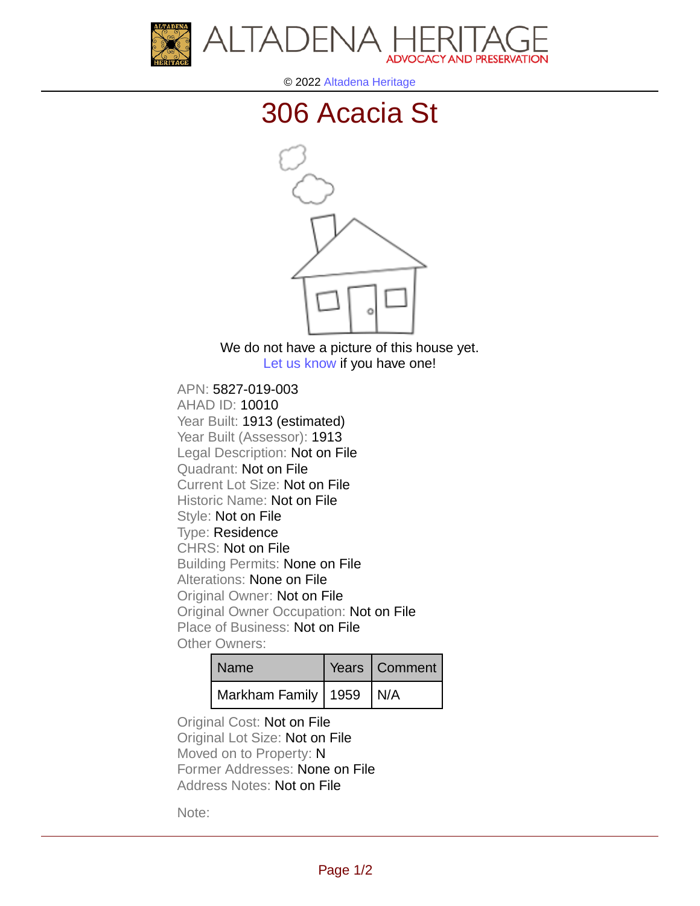



© 2022 [Altadena Heritage](http://altadenaheritage.org/)

## [306 Acacia St](ahad.altadenaheritagepdb.org/properties/10010)



We do not have a picture of this house yet. [Let us know](http://altadenaheritage.org/contact-us/) if you have one!

APN: 5827-019-003 [AHAD ID: 10010](ahad.altadenaheritagepdb.org/properties/10010) Year Built: 1913 (estimated) Year Built (Assessor): 1913 Legal Description: Not on File Quadrant: Not on File Current Lot Size: Not on File Historic Name: Not on File Style: Not on File Type: Residence CHRS: Not on File Building Permits: None on File Alterations: None on File Original Owner: Not on File Original Owner Occupation: Not on File Place of Business: Not on File Other Owners:

| l Name                      | Years   Comment |
|-----------------------------|-----------------|
| Markham Family   1959   N/A |                 |

Original Cost: Not on File Original Lot Size: Not on File Moved on to Property: N Former Addresses: None on File Address Notes: Not on File

Note: